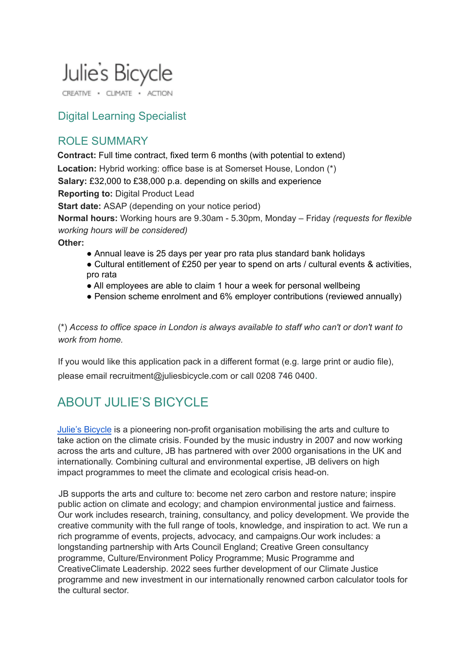# Julie's Bicycle

CREATIVE . CLIMATE . ACTION

### Digital Learning Specialist

### ROLE SUMMARY

**Contract:** Full time contract, fixed term 6 months (with potential to extend) **Location:** Hybrid working: office base is at Somerset House, London (\*) **Salary:** £32,000 to £38,000 p.a. depending on skills and experience **Reporting to:** Digital Product Lead **Start date:** ASAP (depending on your notice period) **Normal hours:** Working hours are 9.30am - 5.30pm, Monday – Friday *(requests for flexible working hours will be considered)*

**Other:**

- Annual leave is 25 days per year pro rata plus standard bank holidays
- Cultural entitlement of £250 per year to spend on arts / cultural events & activities, pro rata
- All employees are able to claim 1 hour a week for personal wellbeing
- Pension scheme enrolment and 6% employer contributions (reviewed annually)

(\*) *Access to office space in London is always available to staff who can't or don't want to work from home.*

If you would like this application pack in a different format (e.g. large print or audio file), please email recruitment@juliesbicycle.com or call 0208 746 0400.

# ABOUT JULIE'S BICYCLE

Julie's [Bicycle](https://juliesbicycle.com/) is a pioneering non-profit organisation mobilising the arts and culture to take action on the climate crisis. Founded by the music industry in 2007 and now working across the arts and culture, JB has partnered with over 2000 organisations in the UK and internationally. Combining cultural and environmental expertise, JB delivers on high impact programmes to meet the climate and ecological crisis head-on.

JB supports the arts and culture to: become net zero carbon and restore nature; inspire public action on climate and ecology; and champion environmental justice and fairness. Our work includes research, training, consultancy, and policy development. We provide the creative community with the full range of tools, knowledge, and inspiration to act. We run a rich programme of events, projects, advocacy, and campaigns.Our work includes: a longstanding partnership with Arts Council England; Creative Green consultancy programme, Culture/Environment Policy Programme; Music Programme and CreativeClimate Leadership. 2022 sees further development of our Climate Justice programme and new investment in our internationally renowned carbon calculator tools for the cultural sector.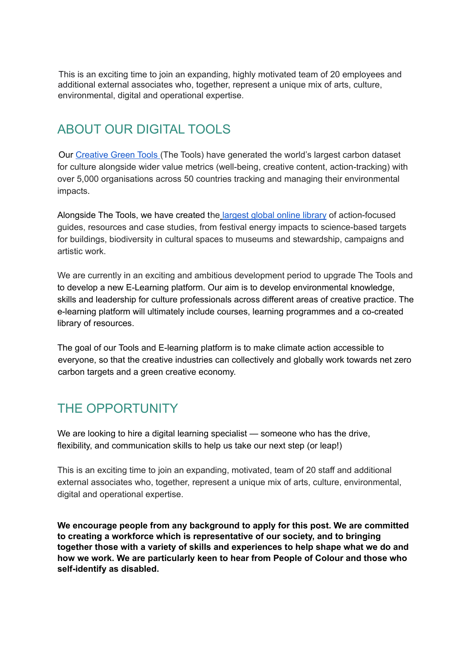This is an exciting time to join an expanding, highly motivated team of 20 employees and additional external associates who, together, represent a unique mix of arts, culture, environmental, digital and operational expertise.

# ABOUT OUR DIGITAL TOOLS

Our [Creative](https://juliesbicycle.com/our-work/tools-learning/) Green Tools (The Tools) have generated the world's largest carbon dataset for culture alongside wider value metrics (well-being, creative content, action-tracking) with over 5,000 organisations across 50 countries tracking and managing their environmental impacts.

Alongside The Tools, we have created the [largest](https://juliesbicycle.com/resources/) global online library of action-focused guides, resources and case studies, from festival energy impacts to science-based targets for buildings, biodiversity in cultural spaces to museums and stewardship, campaigns and artistic work.

We are currently in an exciting and ambitious development period to upgrade The Tools and to develop a new E-Learning platform. Our aim is to develop environmental knowledge, skills and leadership for culture professionals across different areas of creative practice. The e-learning platform will ultimately include courses, learning programmes and a co-created library of resources.

The goal of our Tools and E-learning platform is to make climate action accessible to everyone, so that the creative industries can collectively and globally work towards net zero carbon targets and a green creative economy.

# THE OPPORTUNITY

We are looking to hire a digital learning specialist — someone who has the drive, flexibility, and communication skills to help us take our next step (or leap!)

This is an exciting time to join an expanding, motivated, team of 20 staff and additional external associates who, together, represent a unique mix of arts, culture, environmental, digital and operational expertise.

**We encourage people from any background to apply for this post. We are committed to creating a workforce which is representative of our society, and to bringing together those with a variety of skills and experiences to help shape what we do and how we work. We are particularly keen to hear from People of Colour and those who self-identify as disabled.**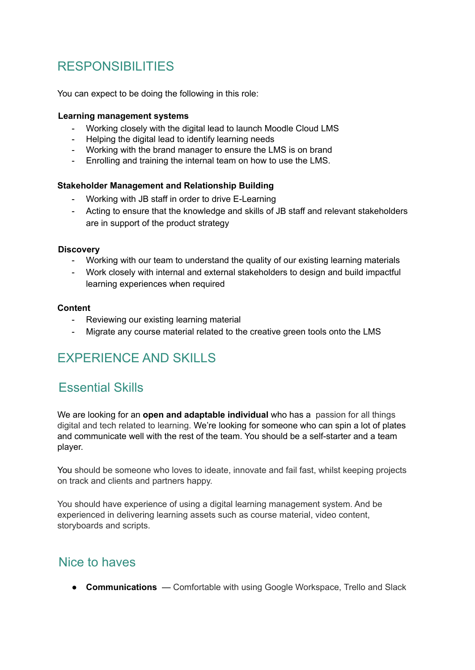# RESPONSIBILITIES

You can expect to be doing the following in this role:

#### **Learning management systems**

- Working closely with the digital lead to launch Moodle Cloud LMS
- Helping the digital lead to identify learning needs
- Working with the brand manager to ensure the LMS is on brand
- Enrolling and training the internal team on how to use the LMS.

#### **Stakeholder Management and Relationship Building**

- Working with JB staff in order to drive E-Learning
- Acting to ensure that the knowledge and skills of JB staff and relevant stakeholders are in support of the product strategy

#### **Discovery**

- Working with our team to understand the quality of our existing learning materials
- Work closely with internal and external stakeholders to design and build impactful learning experiences when required

#### **Content**

- Reviewing our existing learning material
- Migrate any course material related to the creative green tools onto the LMS

# EXPERIENCE AND SKILLS

### Essential Skills

We are looking for an **open and adaptable individual** who has a passion for all things digital and tech related to learning. We're looking for someone who can spin a lot of plates and communicate well with the rest of the team. You should be a self-starter and a team player.

You should be someone who loves to ideate, innovate and fail fast, whilst keeping projects on track and clients and partners happy.

You should have experience of using a digital learning management system. And be experienced in delivering learning assets such as course material, video content, storyboards and scripts.

### Nice to haves

● **Communications** — Comfortable with using Google Workspace, Trello and Slack